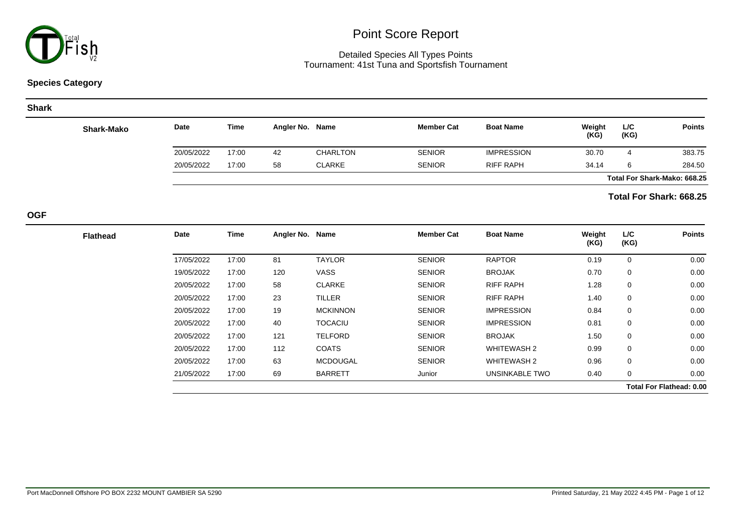

### Detailed Species All Types Points Tournament: 41st Tuna and Sportsfish Tournament

### **Species Category**

#### **Shark**

| Shark-Mako | <b>Date</b> | Time  | Angler No. Name |                 | <b>Member Cat</b> | <b>Boat Name</b>  | Weight<br>(KG) | L/C<br>(KG)                  | <b>Points</b> |
|------------|-------------|-------|-----------------|-----------------|-------------------|-------------------|----------------|------------------------------|---------------|
|            | 20/05/2022  | 17:00 | 42              | <b>CHARLTON</b> | <b>SENIOR</b>     | <b>IMPRESSION</b> | 30.70          | 4                            | 383.75        |
|            | 20/05/2022  | 17:00 | 58              | <b>CLARKE</b>   | <b>SENIOR</b>     | <b>RIFF RAPH</b>  | 34.14          | 6                            | 284.50        |
|            |             |       |                 |                 |                   |                   |                | Total For Shark-Mako: 668.25 |               |

### **Total For Shark: 668.25**

**OGF**

| <b>Points</b>                   | L/C<br>(KG) | Weight<br>(KG) | <b>Boat Name</b>   | <b>Member Cat</b> | Name            | Angler No. | <b>Time</b> | Date       |
|---------------------------------|-------------|----------------|--------------------|-------------------|-----------------|------------|-------------|------------|
| 0.00                            | 0           | 0.19           | <b>RAPTOR</b>      | <b>SENIOR</b>     | <b>TAYLOR</b>   | 81         | 17:00       | 17/05/2022 |
| 0.00                            | 0           | 0.70           | <b>BROJAK</b>      | <b>SENIOR</b>     | <b>VASS</b>     | 120        | 17:00       | 19/05/2022 |
| 0.00                            | 0           | 1.28           | <b>RIFF RAPH</b>   | <b>SENIOR</b>     | <b>CLARKE</b>   | 58         | 17:00       | 20/05/2022 |
| 0.00                            | 0           | 1.40           | <b>RIFF RAPH</b>   | <b>SENIOR</b>     | <b>TILLER</b>   | 23         | 17:00       | 20/05/2022 |
| 0.00                            | 0           | 0.84           | <b>IMPRESSION</b>  | <b>SENIOR</b>     | <b>MCKINNON</b> | 19         | 17:00       | 20/05/2022 |
| 0.00                            | 0           | 0.81           | <b>IMPRESSION</b>  | <b>SENIOR</b>     | <b>TOCACIU</b>  | 40         | 17:00       | 20/05/2022 |
| 0.00                            | $\mathbf 0$ | 1.50           | <b>BROJAK</b>      | <b>SENIOR</b>     | <b>TELFORD</b>  | 121        | 17:00       | 20/05/2022 |
| 0.00                            | 0           | 0.99           | <b>WHITEWASH 2</b> | <b>SENIOR</b>     | <b>COATS</b>    | 112        | 17:00       | 20/05/2022 |
| 0.00                            | 0           | 0.96           | <b>WHITEWASH 2</b> | <b>SENIOR</b>     | <b>MCDOUGAL</b> | 63         | 17:00       | 20/05/2022 |
| 0.00                            | 0           | 0.40           | UNSINKABLE TWO     | Junior            | <b>BARRETT</b>  | 69         | 17:00       | 21/05/2022 |
| <b>Total For Flathead: 0.00</b> |             |                |                    |                   |                 |            |             |            |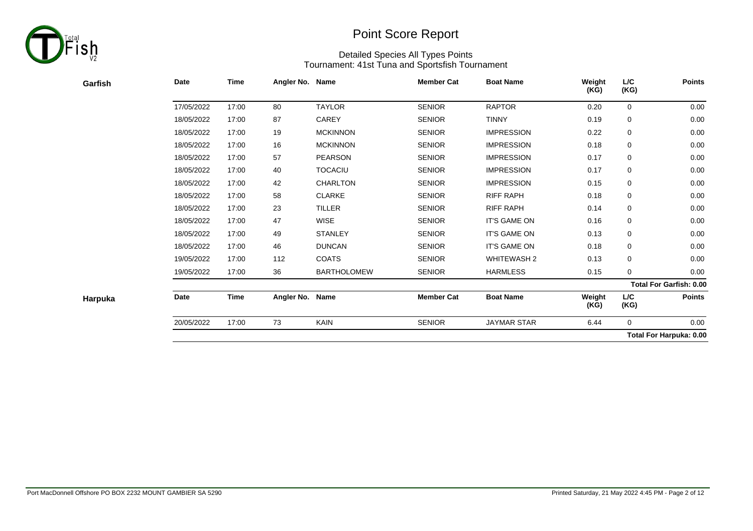

| Garfish | Date       | <b>Time</b> | Angler No. Name |                    | <b>Member Cat</b> | <b>Boat Name</b>   | Weight<br>(KG) | L/C<br>(KG) | <b>Points</b>                  |
|---------|------------|-------------|-----------------|--------------------|-------------------|--------------------|----------------|-------------|--------------------------------|
|         | 17/05/2022 | 17:00       | 80              | <b>TAYLOR</b>      | <b>SENIOR</b>     | <b>RAPTOR</b>      | 0.20           | 0           | 0.00                           |
|         | 18/05/2022 | 17:00       | 87              | CAREY              | <b>SENIOR</b>     | <b>TINNY</b>       | 0.19           | $\mathbf 0$ | 0.00                           |
|         | 18/05/2022 | 17:00       | 19              | <b>MCKINNON</b>    | <b>SENIOR</b>     | <b>IMPRESSION</b>  | 0.22           | 0           | 0.00                           |
|         | 18/05/2022 | 17:00       | 16              | <b>MCKINNON</b>    | <b>SENIOR</b>     | <b>IMPRESSION</b>  | 0.18           | 0           | 0.00                           |
|         | 18/05/2022 | 17:00       | 57              | <b>PEARSON</b>     | <b>SENIOR</b>     | <b>IMPRESSION</b>  | 0.17           | 0           | 0.00                           |
|         | 18/05/2022 | 17:00       | 40              | <b>TOCACIU</b>     | <b>SENIOR</b>     | <b>IMPRESSION</b>  | 0.17           | 0           | 0.00                           |
|         | 18/05/2022 | 17:00       | 42              | <b>CHARLTON</b>    | <b>SENIOR</b>     | <b>IMPRESSION</b>  | 0.15           | 0           | 0.00                           |
|         | 18/05/2022 | 17:00       | 58              | <b>CLARKE</b>      | <b>SENIOR</b>     | RIFF RAPH          | 0.18           | 0           | 0.00                           |
|         | 18/05/2022 | 17:00       | 23              | <b>TILLER</b>      | <b>SENIOR</b>     | <b>RIFF RAPH</b>   | 0.14           | 0           | 0.00                           |
|         | 18/05/2022 | 17:00       | 47              | <b>WISE</b>        | <b>SENIOR</b>     | IT'S GAME ON       | 0.16           | 0           | 0.00                           |
|         | 18/05/2022 | 17:00       | 49              | <b>STANLEY</b>     | <b>SENIOR</b>     | IT'S GAME ON       | 0.13           | 0           | 0.00                           |
|         | 18/05/2022 | 17:00       | 46              | <b>DUNCAN</b>      | <b>SENIOR</b>     | IT'S GAME ON       | 0.18           | 0           | 0.00                           |
|         | 19/05/2022 | 17:00       | 112             | <b>COATS</b>       | <b>SENIOR</b>     | <b>WHITEWASH 2</b> | 0.13           | 0           | 0.00                           |
|         | 19/05/2022 | 17:00       | 36              | <b>BARTHOLOMEW</b> | <b>SENIOR</b>     | <b>HARMLESS</b>    | 0.15           | $\mathbf 0$ | 0.00                           |
|         |            |             |                 |                    |                   |                    |                |             | <b>Total For Garfish: 0.00</b> |
| Harpuka | Date       | <b>Time</b> | Angler No. Name |                    | <b>Member Cat</b> | <b>Boat Name</b>   | Weight<br>(KG) | L/C<br>(KG) | <b>Points</b>                  |
|         | 20/05/2022 | 17:00       | 73              | KAIN               | <b>SENIOR</b>     | <b>JAYMAR STAR</b> | 6.44           | $\mathbf 0$ | 0.00                           |
|         |            |             |                 |                    |                   |                    |                |             | <b>Total For Harpuka: 0.00</b> |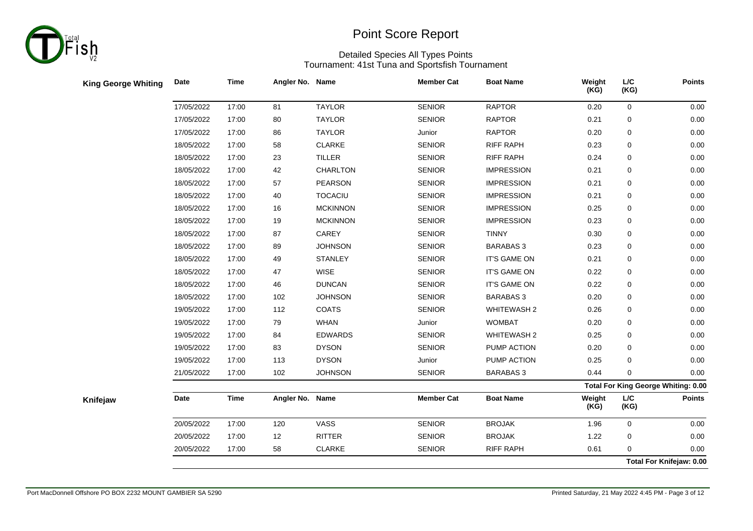

| <b>King George Whiting</b> | Date       | <b>Time</b> | Angler No. Name |                 | <b>Member Cat</b> | <b>Boat Name</b>   | Weight<br>(KG) | $L/C$<br>(KG) | <b>Points</b>                              |
|----------------------------|------------|-------------|-----------------|-----------------|-------------------|--------------------|----------------|---------------|--------------------------------------------|
|                            | 17/05/2022 | 17:00       | 81              | <b>TAYLOR</b>   | <b>SENIOR</b>     | <b>RAPTOR</b>      | 0.20           | $\mathsf 0$   | $0.00\,$                                   |
|                            | 17/05/2022 | 17:00       | 80              | <b>TAYLOR</b>   | <b>SENIOR</b>     | <b>RAPTOR</b>      | 0.21           | $\pmb{0}$     | $0.00\,$                                   |
|                            | 17/05/2022 | 17:00       | 86              | <b>TAYLOR</b>   | Junior            | <b>RAPTOR</b>      | 0.20           | $\mathbf 0$   | 0.00                                       |
|                            | 18/05/2022 | 17:00       | 58              | <b>CLARKE</b>   | <b>SENIOR</b>     | <b>RIFF RAPH</b>   | 0.23           | 0             | $0.00\,$                                   |
|                            | 18/05/2022 | 17:00       | 23              | <b>TILLER</b>   | <b>SENIOR</b>     | <b>RIFF RAPH</b>   | 0.24           | 0             | 0.00                                       |
|                            | 18/05/2022 | 17:00       | 42              | CHARLTON        | <b>SENIOR</b>     | <b>IMPRESSION</b>  | 0.21           | 0             | 0.00                                       |
|                            | 18/05/2022 | 17:00       | 57              | <b>PEARSON</b>  | <b>SENIOR</b>     | <b>IMPRESSION</b>  | 0.21           | 0             | $0.00\,$                                   |
|                            | 18/05/2022 | 17:00       | 40              | <b>TOCACIU</b>  | <b>SENIOR</b>     | <b>IMPRESSION</b>  | 0.21           | 0             | 0.00                                       |
|                            | 18/05/2022 | 17:00       | 16              | <b>MCKINNON</b> | <b>SENIOR</b>     | <b>IMPRESSION</b>  | 0.25           | 0             | $0.00\,$                                   |
|                            | 18/05/2022 | 17:00       | 19              | <b>MCKINNON</b> | <b>SENIOR</b>     | <b>IMPRESSION</b>  | 0.23           | 0             | $0.00\,$                                   |
|                            | 18/05/2022 | 17:00       | 87              | CAREY           | <b>SENIOR</b>     | <b>TINNY</b>       | 0.30           | 0             | $0.00\,$                                   |
|                            | 18/05/2022 | 17:00       | 89              | <b>JOHNSON</b>  | <b>SENIOR</b>     | <b>BARABAS 3</b>   | 0.23           | $\pmb{0}$     | $0.00\,$                                   |
|                            | 18/05/2022 | 17:00       | 49              | <b>STANLEY</b>  | <b>SENIOR</b>     | IT'S GAME ON       | 0.21           | $\mathbf 0$   | $0.00\,$                                   |
|                            | 18/05/2022 | 17:00       | 47              | <b>WISE</b>     | <b>SENIOR</b>     | IT'S GAME ON       | 0.22           | 0             | 0.00                                       |
|                            | 18/05/2022 | 17:00       | 46              | <b>DUNCAN</b>   | <b>SENIOR</b>     | IT'S GAME ON       | 0.22           | 0             | $0.00\,$                                   |
|                            | 18/05/2022 | 17:00       | 102             | <b>JOHNSON</b>  | <b>SENIOR</b>     | <b>BARABAS 3</b>   | 0.20           | 0             | $0.00\,$                                   |
|                            | 19/05/2022 | 17:00       | 112             | <b>COATS</b>    | <b>SENIOR</b>     | <b>WHITEWASH 2</b> | 0.26           | 0             | 0.00                                       |
|                            | 19/05/2022 | 17:00       | 79              | <b>WHAN</b>     | Junior            | <b>WOMBAT</b>      | 0.20           | 0             | $0.00\,$                                   |
|                            | 19/05/2022 | 17:00       | 84              | <b>EDWARDS</b>  | <b>SENIOR</b>     | <b>WHITEWASH 2</b> | 0.25           | $\mathbf 0$   | 0.00                                       |
|                            | 19/05/2022 | 17:00       | 83              | <b>DYSON</b>    | <b>SENIOR</b>     | PUMP ACTION        | 0.20           | 0             | $0.00\,$                                   |
|                            | 19/05/2022 | 17:00       | 113             | <b>DYSON</b>    | Junior            | PUMP ACTION        | 0.25           | 0             | $0.00\,$                                   |
|                            | 21/05/2022 | 17:00       | 102             | <b>JOHNSON</b>  | <b>SENIOR</b>     | <b>BARABAS 3</b>   | 0.44           | $\mathbf 0$   | 0.00                                       |
|                            |            |             |                 |                 |                   |                    |                |               | <b>Total For King George Whiting: 0.00</b> |
| Knifejaw                   | Date       | <b>Time</b> | Angler No. Name |                 | <b>Member Cat</b> | <b>Boat Name</b>   | Weight<br>(KG) | L/C<br>(KG)   | <b>Points</b>                              |
|                            | 20/05/2022 | 17:00       | 120             | VASS            | <b>SENIOR</b>     | <b>BROJAK</b>      | 1.96           | $\mathsf 0$   | $0.00\,$                                   |
|                            | 20/05/2022 | 17:00       | 12              | RITTER          | <b>SENIOR</b>     | <b>BROJAK</b>      | 1.22           | 0             | 0.00                                       |
|                            | 20/05/2022 | 17:00       | 58              | <b>CLARKE</b>   | <b>SENIOR</b>     | <b>RIFF RAPH</b>   | 0.61           | $\mathbf 0$   | 0.00                                       |
|                            |            |             |                 |                 |                   |                    |                |               | Total For Knifejaw: 0.00                   |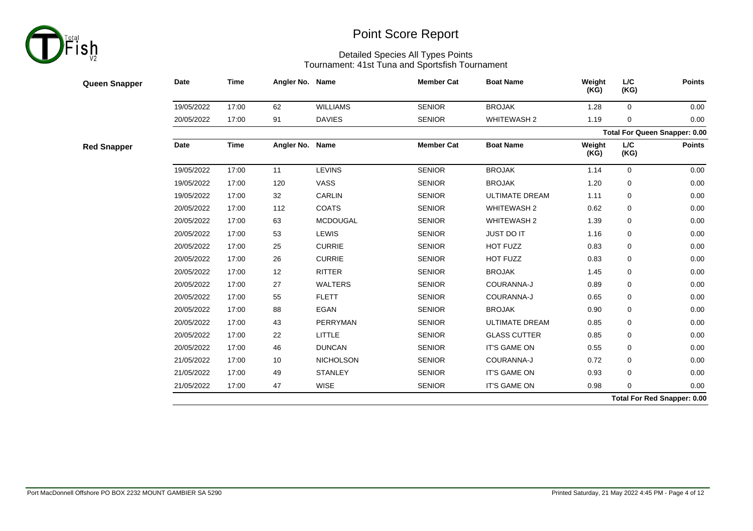

| <b>Queen Snapper</b> | Date       | Time        | Angler No. Name |                  | <b>Member Cat</b> | <b>Boat Name</b>      | Weight<br>(KG) | L/C<br>(KG)        | <b>Points</b>                        |
|----------------------|------------|-------------|-----------------|------------------|-------------------|-----------------------|----------------|--------------------|--------------------------------------|
|                      | 19/05/2022 | 17:00       | 62              | <b>WILLIAMS</b>  | <b>SENIOR</b>     | <b>BROJAK</b>         | 1.28           | $\mathbf 0$        | 0.00                                 |
|                      | 20/05/2022 | 17:00       | 91              | <b>DAVIES</b>    | <b>SENIOR</b>     | WHITEWASH 2           | 1.19           | 0                  | 0.00                                 |
|                      |            |             |                 |                  |                   |                       |                |                    | <b>Total For Queen Snapper: 0.00</b> |
| <b>Red Snapper</b>   | Date       | <b>Time</b> | Angler No. Name |                  | <b>Member Cat</b> | <b>Boat Name</b>      | Weight<br>(KG) | <b>L/C</b><br>(KG) | <b>Points</b>                        |
|                      | 19/05/2022 | 17:00       | 11              | <b>LEVINS</b>    | <b>SENIOR</b>     | <b>BROJAK</b>         | 1.14           | $\mathbf 0$        | 0.00                                 |
|                      | 19/05/2022 | 17:00       | 120             | VASS             | <b>SENIOR</b>     | <b>BROJAK</b>         | 1.20           | 0                  | 0.00                                 |
|                      | 19/05/2022 | 17:00       | 32              | <b>CARLIN</b>    | <b>SENIOR</b>     | <b>ULTIMATE DREAM</b> | 1.11           | 0                  | 0.00                                 |
|                      | 20/05/2022 | 17:00       | 112             | <b>COATS</b>     | <b>SENIOR</b>     | <b>WHITEWASH 2</b>    | 0.62           | 0                  | 0.00                                 |
|                      | 20/05/2022 | 17:00       | 63              | <b>MCDOUGAL</b>  | <b>SENIOR</b>     | <b>WHITEWASH 2</b>    | 1.39           | 0                  | 0.00                                 |
|                      | 20/05/2022 | 17:00       | 53              | <b>LEWIS</b>     | <b>SENIOR</b>     | JUST DO IT            | 1.16           | 0                  | 0.00                                 |
|                      | 20/05/2022 | 17:00       | 25              | <b>CURRIE</b>    | <b>SENIOR</b>     | HOT FUZZ              | 0.83           | 0                  | 0.00                                 |
|                      | 20/05/2022 | 17:00       | 26              | <b>CURRIE</b>    | <b>SENIOR</b>     | HOT FUZZ              | 0.83           | 0                  | 0.00                                 |
|                      | 20/05/2022 | 17:00       | 12              | <b>RITTER</b>    | <b>SENIOR</b>     | <b>BROJAK</b>         | 1.45           | 0                  | 0.00                                 |
|                      | 20/05/2022 | 17:00       | 27              | <b>WALTERS</b>   | <b>SENIOR</b>     | COURANNA-J            | 0.89           | 0                  | 0.00                                 |
|                      | 20/05/2022 | 17:00       | 55              | <b>FLETT</b>     | <b>SENIOR</b>     | COURANNA-J            | 0.65           | 0                  | 0.00                                 |
|                      | 20/05/2022 | 17:00       | 88              | <b>EGAN</b>      | <b>SENIOR</b>     | <b>BROJAK</b>         | 0.90           | 0                  | 0.00                                 |
|                      | 20/05/2022 | 17:00       | 43              | PERRYMAN         | <b>SENIOR</b>     | <b>ULTIMATE DREAM</b> | 0.85           | 0                  | 0.00                                 |
|                      | 20/05/2022 | 17:00       | 22              | <b>LITTLE</b>    | <b>SENIOR</b>     | <b>GLASS CUTTER</b>   | 0.85           | 0                  | 0.00                                 |
|                      | 20/05/2022 | 17:00       | 46              | <b>DUNCAN</b>    | <b>SENIOR</b>     | IT'S GAME ON          | 0.55           | 0                  | 0.00                                 |
|                      | 21/05/2022 | 17:00       | 10              | <b>NICHOLSON</b> | <b>SENIOR</b>     | COURANNA-J            | 0.72           | 0                  | 0.00                                 |
|                      | 21/05/2022 | 17:00       | 49              | <b>STANLEY</b>   | <b>SENIOR</b>     | IT'S GAME ON          | 0.93           | 0                  | 0.00                                 |
|                      | 21/05/2022 | 17:00       | 47              | <b>WISE</b>      | <b>SENIOR</b>     | IT'S GAME ON          | 0.98           | $\mathbf 0$        | 0.00                                 |
|                      |            |             |                 |                  |                   |                       |                |                    | <b>Total For Red Snapper: 0.00</b>   |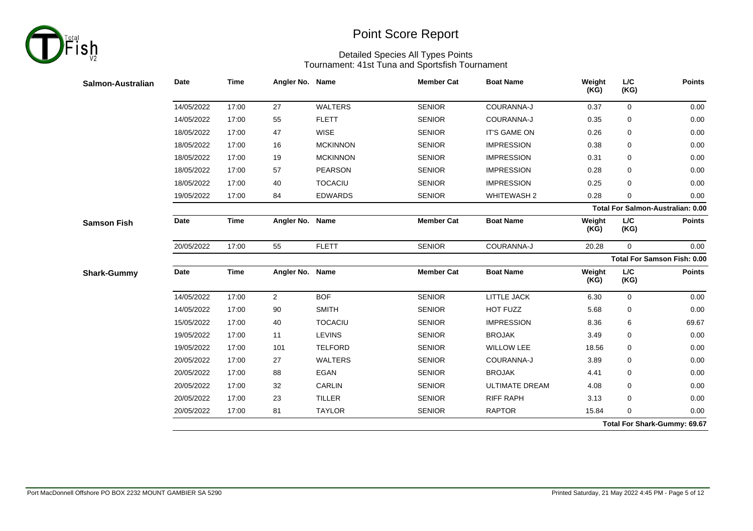

| L/C<br>(KG)        | Weight<br>(KG) | <b>Boat Name</b>                                                        | <b>Member Cat</b> |                 |                | <b>Time</b>                                           | Date       | Salmon-Australian  |
|--------------------|----------------|-------------------------------------------------------------------------|-------------------|-----------------|----------------|-------------------------------------------------------|------------|--------------------|
| $\mathbf 0$        | 0.37           | COURANNA-J                                                              | <b>SENIOR</b>     | <b>WALTERS</b>  | 27             | 17:00                                                 | 14/05/2022 |                    |
| 0                  | 0.35           | COURANNA-J                                                              | <b>SENIOR</b>     | <b>FLETT</b>    | 55             | 17:00                                                 | 14/05/2022 |                    |
| 0                  | 0.26           | IT'S GAME ON                                                            | <b>SENIOR</b>     | <b>WISE</b>     | 47             | 17:00                                                 | 18/05/2022 |                    |
| 0                  | 0.38           | <b>IMPRESSION</b>                                                       | <b>SENIOR</b>     | <b>MCKINNON</b> | 16             | 17:00                                                 | 18/05/2022 |                    |
| 0                  | 0.31           | <b>IMPRESSION</b>                                                       | <b>SENIOR</b>     | <b>MCKINNON</b> | 19             | 17:00                                                 | 18/05/2022 |                    |
| 0                  | 0.28           | <b>IMPRESSION</b>                                                       | <b>SENIOR</b>     | <b>PEARSON</b>  | 57             | 17:00                                                 | 18/05/2022 |                    |
| 0                  | 0.25           | <b>IMPRESSION</b>                                                       | <b>SENIOR</b>     | <b>TOCACIU</b>  | 40             | 17:00                                                 | 18/05/2022 |                    |
| 0                  | 0.28           | <b>WHITEWASH 2</b>                                                      | <b>SENIOR</b>     | <b>EDWARDS</b>  | 84             | 17:00                                                 | 19/05/2022 |                    |
|                    |                |                                                                         |                   |                 |                |                                                       |            |                    |
| <b>L/C</b><br>(KG) | Weight<br>(KG) | <b>Boat Name</b>                                                        | <b>Member Cat</b> |                 |                | <b>Time</b>                                           | Date       | <b>Samson Fish</b> |
| $\mathbf 0$        | 20.28          | COURANNA-J                                                              | <b>SENIOR</b>     | <b>FLETT</b>    | 55             | 17:00                                                 | 20/05/2022 |                    |
|                    |                |                                                                         |                   |                 |                |                                                       |            |                    |
| <b>L/C</b><br>(KG) | Weight<br>(KG) | <b>Boat Name</b>                                                        | <b>Member Cat</b> |                 |                | <b>Time</b>                                           | Date       | <b>Shark-Gummy</b> |
| 0                  | 6.30           | <b>LITTLE JACK</b>                                                      | <b>SENIOR</b>     | <b>BOF</b>      | $\overline{2}$ | 17:00                                                 | 14/05/2022 |                    |
| 0                  | 5.68           | HOT FUZZ                                                                | <b>SENIOR</b>     | <b>SMITH</b>    | 90             | 17:00                                                 | 14/05/2022 |                    |
| 6                  | 8.36           | <b>IMPRESSION</b>                                                       | <b>SENIOR</b>     | <b>TOCACIU</b>  | 40             | 17:00                                                 | 15/05/2022 |                    |
| 0                  | 3.49           | <b>BROJAK</b>                                                           | <b>SENIOR</b>     | <b>LEVINS</b>   | 11             | 17:00                                                 | 19/05/2022 |                    |
| 0                  | 18.56          | <b>WILLOW LEE</b>                                                       | <b>SENIOR</b>     | <b>TELFORD</b>  | 101            | 17:00                                                 | 19/05/2022 |                    |
| 0                  | 3.89           | COURANNA-J                                                              | <b>SENIOR</b>     | <b>WALTERS</b>  | 27             | 17:00                                                 | 20/05/2022 |                    |
| 0                  | 4.41           | <b>BROJAK</b>                                                           | <b>SENIOR</b>     | <b>EGAN</b>     | 88             | 17:00                                                 | 20/05/2022 |                    |
| 0                  | 4.08           | <b>ULTIMATE DREAM</b>                                                   | <b>SENIOR</b>     | CARLIN          | 32             | 17:00                                                 | 20/05/2022 |                    |
| 0                  | 3.13           | <b>RIFF RAPH</b>                                                        | <b>SENIOR</b>     | <b>TILLER</b>   | 23             | 17:00                                                 | 20/05/2022 |                    |
|                    |                |                                                                         |                   |                 |                |                                                       |            |                    |
|                    |                | Total For Salmon-Australian: 0.00<br><b>Total For Samson Fish: 0.00</b> |                   |                 |                | Angler No. Name<br>Angler No. Name<br>Angler No. Name |            |                    |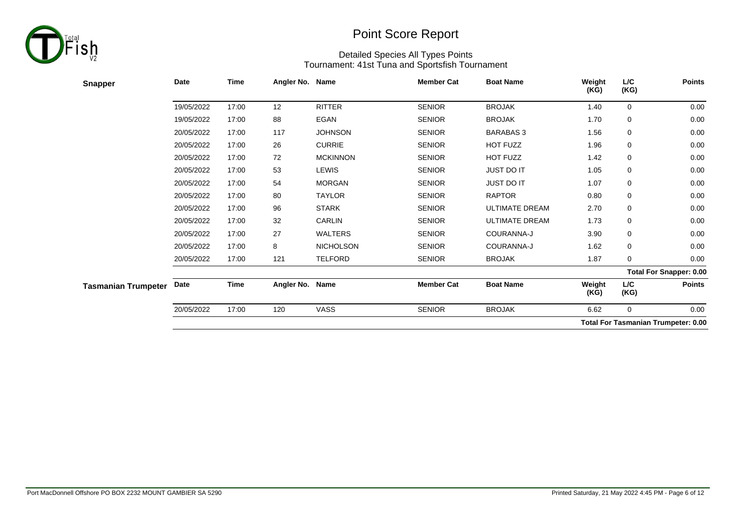

| <b>Snapper</b>             | <b>Date</b> | <b>Time</b> | Angler No. Name |                  | <b>Member Cat</b> | <b>Boat Name</b>      | Weight<br>(KG) | L/C<br>(KG) | <b>Points</b>                              |
|----------------------------|-------------|-------------|-----------------|------------------|-------------------|-----------------------|----------------|-------------|--------------------------------------------|
|                            | 19/05/2022  | 17:00       | 12              | <b>RITTER</b>    | <b>SENIOR</b>     | <b>BROJAK</b>         | 1.40           | 0           | 0.00                                       |
|                            | 19/05/2022  | 17:00       | 88              | <b>EGAN</b>      | <b>SENIOR</b>     | <b>BROJAK</b>         | 1.70           | 0           | 0.00                                       |
|                            | 20/05/2022  | 17:00       | 117             | <b>JOHNSON</b>   | <b>SENIOR</b>     | <b>BARABAS 3</b>      | 1.56           | 0           | 0.00                                       |
|                            | 20/05/2022  | 17:00       | 26              | <b>CURRIE</b>    | <b>SENIOR</b>     | HOT FUZZ              | 1.96           | 0           | 0.00                                       |
|                            | 20/05/2022  | 17:00       | 72              | <b>MCKINNON</b>  | <b>SENIOR</b>     | HOT FUZZ              | 1.42           | 0           | 0.00                                       |
|                            | 20/05/2022  | 17:00       | 53              | <b>LEWIS</b>     | <b>SENIOR</b>     | JUST DO IT            | 1.05           | 0           | 0.00                                       |
|                            | 20/05/2022  | 17:00       | 54              | <b>MORGAN</b>    | <b>SENIOR</b>     | JUST DO IT            | 1.07           | 0           | 0.00                                       |
|                            | 20/05/2022  | 17:00       | 80              | <b>TAYLOR</b>    | <b>SENIOR</b>     | <b>RAPTOR</b>         | 0.80           | 0           | 0.00                                       |
|                            | 20/05/2022  | 17:00       | 96              | <b>STARK</b>     | <b>SENIOR</b>     | <b>ULTIMATE DREAM</b> | 2.70           | 0           | 0.00                                       |
|                            | 20/05/2022  | 17:00       | 32              | CARLIN           | <b>SENIOR</b>     | ULTIMATE DREAM        | 1.73           | 0           | 0.00                                       |
|                            | 20/05/2022  | 17:00       | 27              | <b>WALTERS</b>   | <b>SENIOR</b>     | COURANNA-J            | 3.90           | 0           | 0.00                                       |
|                            | 20/05/2022  | 17:00       | 8               | <b>NICHOLSON</b> | <b>SENIOR</b>     | COURANNA-J            | 1.62           | 0           | 0.00                                       |
|                            | 20/05/2022  | 17:00       | 121             | <b>TELFORD</b>   | <b>SENIOR</b>     | <b>BROJAK</b>         | 1.87           | 0           | 0.00                                       |
|                            |             |             |                 |                  |                   |                       |                |             | <b>Total For Snapper: 0.00</b>             |
| <b>Tasmanian Trumpeter</b> | Date        | Time        | Angler No. Name |                  | <b>Member Cat</b> | <b>Boat Name</b>      | Weight<br>(KG) | L/C<br>(KG) | <b>Points</b>                              |
|                            | 20/05/2022  | 17:00       | 120             | <b>VASS</b>      | <b>SENIOR</b>     | <b>BROJAK</b>         | 6.62           | $\mathbf 0$ | 0.00                                       |
|                            |             |             |                 |                  |                   |                       |                |             | <b>Total For Tasmanian Trumpeter: 0.00</b> |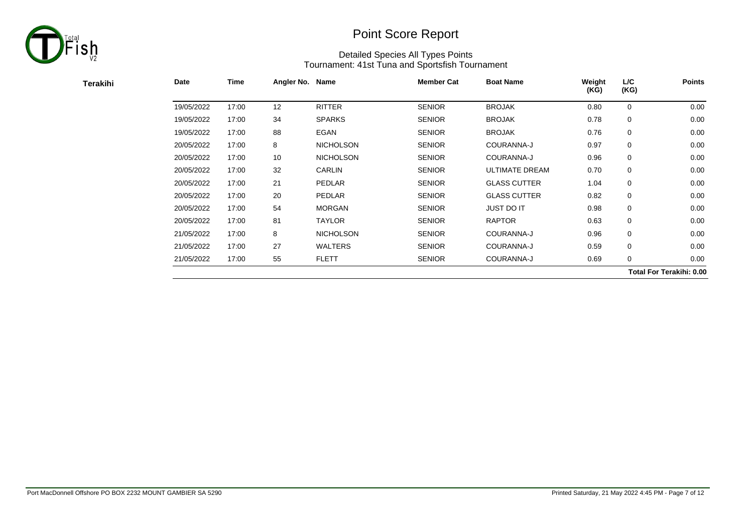

| Terakihi | Date       | Time  | Angler No. Name |                  | <b>Member Cat</b> | <b>Boat Name</b>      | Weight<br>(KG) | L/C<br>(KG) | <b>Points</b>                   |
|----------|------------|-------|-----------------|------------------|-------------------|-----------------------|----------------|-------------|---------------------------------|
|          | 19/05/2022 | 17:00 | 12              | <b>RITTER</b>    | <b>SENIOR</b>     | <b>BROJAK</b>         | 0.80           | 0           | 0.00                            |
|          | 19/05/2022 | 17:00 | 34              | <b>SPARKS</b>    | <b>SENIOR</b>     | <b>BROJAK</b>         | 0.78           | 0           | 0.00                            |
|          | 19/05/2022 | 17:00 | 88              | EGAN             | <b>SENIOR</b>     | <b>BROJAK</b>         | 0.76           | 0           | 0.00                            |
|          | 20/05/2022 | 17:00 | 8               | <b>NICHOLSON</b> | <b>SENIOR</b>     | COURANNA-J            | 0.97           | 0           | 0.00                            |
|          | 20/05/2022 | 17:00 | 10              | <b>NICHOLSON</b> | <b>SENIOR</b>     | COURANNA-J            | 0.96           | 0           | 0.00                            |
|          | 20/05/2022 | 17:00 | 32              | <b>CARLIN</b>    | <b>SENIOR</b>     | <b>ULTIMATE DREAM</b> | 0.70           | 0           | 0.00                            |
|          | 20/05/2022 | 17:00 | 21              | PEDLAR           | <b>SENIOR</b>     | <b>GLASS CUTTER</b>   | 1.04           | 0           | 0.00                            |
|          | 20/05/2022 | 17:00 | 20              | PEDLAR           | <b>SENIOR</b>     | <b>GLASS CUTTER</b>   | 0.82           | 0           | 0.00                            |
|          | 20/05/2022 | 17:00 | 54              | <b>MORGAN</b>    | <b>SENIOR</b>     | <b>JUST DO IT</b>     | 0.98           | 0           | 0.00                            |
|          | 20/05/2022 | 17:00 | 81              | <b>TAYLOR</b>    | <b>SENIOR</b>     | <b>RAPTOR</b>         | 0.63           | 0           | 0.00                            |
|          | 21/05/2022 | 17:00 | 8               | <b>NICHOLSON</b> | <b>SENIOR</b>     | COURANNA-J            | 0.96           | 0           | 0.00                            |
|          | 21/05/2022 | 17:00 | 27              | <b>WALTERS</b>   | <b>SENIOR</b>     | COURANNA-J            | 0.59           | 0           | 0.00                            |
|          | 21/05/2022 | 17:00 | 55              | <b>FLETT</b>     | <b>SENIOR</b>     | COURANNA-J            | 0.69           | 0           | 0.00                            |
|          |            |       |                 |                  |                   |                       |                |             | <b>Total For Terakihi: 0.00</b> |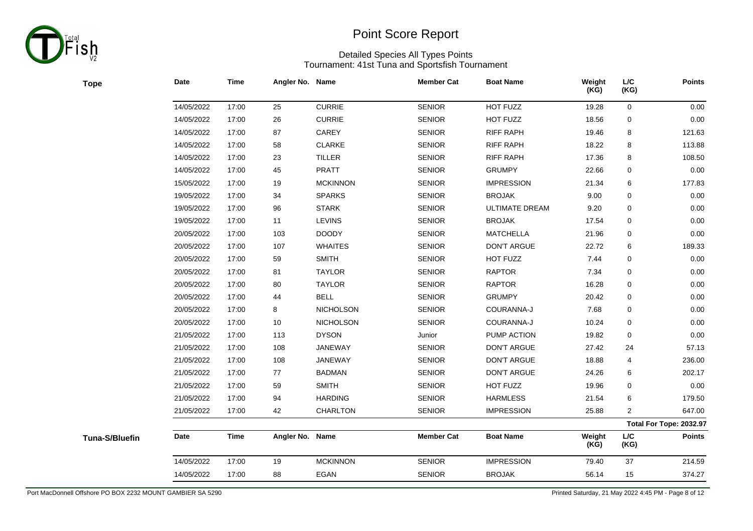

**Tope**

# Point Score Report

| <b>Tope</b>    | <b>Date</b> | <b>Time</b> | Angler No. Name |                  | <b>Member Cat</b> | <b>Boat Name</b>      | Weight<br>(KG) | L/C<br>(KG)    | <b>Points</b>           |
|----------------|-------------|-------------|-----------------|------------------|-------------------|-----------------------|----------------|----------------|-------------------------|
|                | 14/05/2022  | 17:00       | 25              | <b>CURRIE</b>    | <b>SENIOR</b>     | HOT FUZZ              | 19.28          | $\mathbf 0$    | 0.00                    |
|                | 14/05/2022  | 17:00       | 26              | <b>CURRIE</b>    | <b>SENIOR</b>     | HOT FUZZ              | 18.56          | 0              | 0.00                    |
|                | 14/05/2022  | 17:00       | 87              | CAREY            | <b>SENIOR</b>     | <b>RIFF RAPH</b>      | 19.46          | 8              | 121.63                  |
|                | 14/05/2022  | 17:00       | 58              | <b>CLARKE</b>    | <b>SENIOR</b>     | <b>RIFF RAPH</b>      | 18.22          | 8              | 113.88                  |
|                | 14/05/2022  | 17:00       | 23              | TILLER           | <b>SENIOR</b>     | <b>RIFF RAPH</b>      | 17.36          | 8              | 108.50                  |
|                | 14/05/2022  | 17:00       | 45              | <b>PRATT</b>     | <b>SENIOR</b>     | <b>GRUMPY</b>         | 22.66          | 0              | 0.00                    |
|                | 15/05/2022  | 17:00       | 19              | <b>MCKINNON</b>  | <b>SENIOR</b>     | <b>IMPRESSION</b>     | 21.34          | 6              | 177.83                  |
|                | 19/05/2022  | 17:00       | 34              | <b>SPARKS</b>    | <b>SENIOR</b>     | <b>BROJAK</b>         | 9.00           | 0              | 0.00                    |
|                | 19/05/2022  | 17:00       | 96              | <b>STARK</b>     | <b>SENIOR</b>     | <b>ULTIMATE DREAM</b> | 9.20           | 0              | 0.00                    |
|                | 19/05/2022  | 17:00       | 11              | LEVINS           | <b>SENIOR</b>     | <b>BROJAK</b>         | 17.54          | $\mathbf 0$    | 0.00                    |
|                | 20/05/2022  | 17:00       | 103             | <b>DOODY</b>     | <b>SENIOR</b>     | <b>MATCHELLA</b>      | 21.96          | 0              | 0.00                    |
|                | 20/05/2022  | 17:00       | 107             | <b>WHAITES</b>   | <b>SENIOR</b>     | DON'T ARGUE           | 22.72          | 6              | 189.33                  |
|                | 20/05/2022  | 17:00       | 59              | <b>SMITH</b>     | <b>SENIOR</b>     | HOT FUZZ              | 7.44           | $\mathbf 0$    | 0.00                    |
|                | 20/05/2022  | 17:00       | 81              | <b>TAYLOR</b>    | <b>SENIOR</b>     | <b>RAPTOR</b>         | 7.34           | 0              | 0.00                    |
|                | 20/05/2022  | 17:00       | 80              | <b>TAYLOR</b>    | <b>SENIOR</b>     | <b>RAPTOR</b>         | 16.28          | 0              | 0.00                    |
|                | 20/05/2022  | 17:00       | 44              | <b>BELL</b>      | <b>SENIOR</b>     | <b>GRUMPY</b>         | 20.42          | $\mathbf 0$    | 0.00                    |
|                | 20/05/2022  | 17:00       | 8               | <b>NICHOLSON</b> | <b>SENIOR</b>     | COURANNA-J            | 7.68           | 0              | 0.00                    |
|                | 20/05/2022  | 17:00       | 10              | NICHOLSON        | <b>SENIOR</b>     | COURANNA-J            | 10.24          | 0              | 0.00                    |
|                | 21/05/2022  | 17:00       | 113             | <b>DYSON</b>     | Junior            | PUMP ACTION           | 19.82          | $\mathbf 0$    | 0.00                    |
|                | 21/05/2022  | 17:00       | 108             | JANEWAY          | <b>SENIOR</b>     | <b>DON'T ARGUE</b>    | 27.42          | 24             | 57.13                   |
|                | 21/05/2022  | 17:00       | 108             | <b>JANEWAY</b>   | <b>SENIOR</b>     | <b>DON'T ARGUE</b>    | 18.88          | 4              | 236.00                  |
|                | 21/05/2022  | 17:00       | 77              | <b>BADMAN</b>    | <b>SENIOR</b>     | <b>DON'T ARGUE</b>    | 24.26          | 6              | 202.17                  |
|                | 21/05/2022  | 17:00       | 59              | <b>SMITH</b>     | <b>SENIOR</b>     | HOT FUZZ              | 19.96          | 0              | 0.00                    |
|                | 21/05/2022  | 17:00       | 94              | <b>HARDING</b>   | <b>SENIOR</b>     | <b>HARMLESS</b>       | 21.54          | 6              | 179.50                  |
|                | 21/05/2022  | 17:00       | 42              | CHARLTON         | <b>SENIOR</b>     | <b>IMPRESSION</b>     | 25.88          | $\overline{2}$ | 647.00                  |
|                |             |             |                 |                  |                   |                       |                |                | Total For Tope: 2032.97 |
| Tuna-S/Bluefin | Date        | <b>Time</b> | Angler No. Name |                  | <b>Member Cat</b> | <b>Boat Name</b>      | Weight<br>(KG) | L/C<br>(KG)    | <b>Points</b>           |
|                | 14/05/2022  | 17:00       | 19              | <b>MCKINNON</b>  | <b>SENIOR</b>     | <b>IMPRESSION</b>     | 79.40          | 37             | 214.59                  |
|                | 14/05/2022  | 17:00       | 88              | EGAN             | <b>SENIOR</b>     | <b>BROJAK</b>         | 56.14          | 15             | 374.27                  |
|                |             |             |                 |                  |                   |                       |                |                |                         |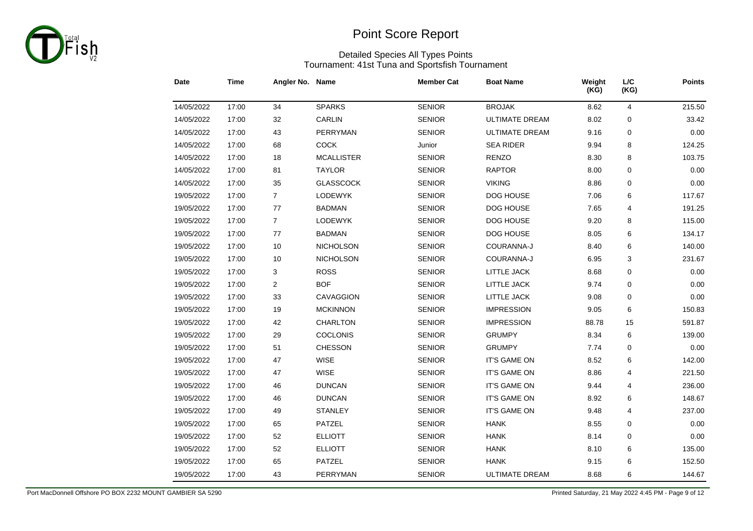

#### Detailed Species All Types Points Tournament: 41st Tuna and Sportsfish Tournament

| Date       | <b>Time</b> | Angler No. Name |                   | <b>Member Cat</b> | <b>Boat Name</b>      | Weight<br>(KG) | L/C<br>(KG)    | <b>Points</b> |
|------------|-------------|-----------------|-------------------|-------------------|-----------------------|----------------|----------------|---------------|
| 14/05/2022 | 17:00       | 34              | <b>SPARKS</b>     | <b>SENIOR</b>     | <b>BROJAK</b>         | 8.62           | $\overline{4}$ | 215.50        |
| 14/05/2022 | 17:00       | 32              | CARLIN            | <b>SENIOR</b>     | <b>ULTIMATE DREAM</b> | 8.02           | 0              | 33.42         |
| 14/05/2022 | 17:00       | 43              | <b>PERRYMAN</b>   | <b>SENIOR</b>     | <b>ULTIMATE DREAM</b> | 9.16           | 0              | 0.00          |
| 14/05/2022 | 17:00       | 68              | <b>COCK</b>       | Junior            | <b>SEA RIDER</b>      | 9.94           | 8              | 124.25        |
| 14/05/2022 | 17:00       | 18              | <b>MCALLISTER</b> | <b>SENIOR</b>     | <b>RENZO</b>          | 8.30           | 8              | 103.75        |
| 14/05/2022 | 17:00       | 81              | <b>TAYLOR</b>     | <b>SENIOR</b>     | <b>RAPTOR</b>         | 8.00           | $\mathbf 0$    | 0.00          |
| 14/05/2022 | 17:00       | 35              | <b>GLASSCOCK</b>  | <b>SENIOR</b>     | <b>VIKING</b>         | 8.86           | 0              | 0.00          |
| 19/05/2022 | 17:00       | $\overline{7}$  | LODEWYK           | <b>SENIOR</b>     | DOG HOUSE             | 7.06           | 6              | 117.67        |
| 19/05/2022 | 17:00       | 77              | <b>BADMAN</b>     | <b>SENIOR</b>     | DOG HOUSE             | 7.65           | 4              | 191.25        |
| 19/05/2022 | 17:00       | $\overline{7}$  | LODEWYK           | <b>SENIOR</b>     | DOG HOUSE             | 9.20           | 8              | 115.00        |
| 19/05/2022 | 17:00       | 77              | <b>BADMAN</b>     | <b>SENIOR</b>     | DOG HOUSE             | 8.05           | 6              | 134.17        |
| 19/05/2022 | 17:00       | 10              | <b>NICHOLSON</b>  | <b>SENIOR</b>     | COURANNA-J            | 8.40           | 6              | 140.00        |
| 19/05/2022 | 17:00       | 10              | NICHOLSON         | <b>SENIOR</b>     | COURANNA-J            | 6.95           | 3              | 231.67        |
| 19/05/2022 | 17:00       | 3               | <b>ROSS</b>       | <b>SENIOR</b>     | LITTLE JACK           | 8.68           | 0              | 0.00          |
| 19/05/2022 | 17:00       | $\overline{c}$  | <b>BOF</b>        | <b>SENIOR</b>     | LITTLE JACK           | 9.74           | 0              | 0.00          |
| 19/05/2022 | 17:00       | 33              | CAVAGGION         | <b>SENIOR</b>     | LITTLE JACK           | 9.08           | 0              | 0.00          |
| 19/05/2022 | 17:00       | 19              | <b>MCKINNON</b>   | <b>SENIOR</b>     | <b>IMPRESSION</b>     | 9.05           | 6              | 150.83        |
| 19/05/2022 | 17:00       | 42              | CHARLTON          | <b>SENIOR</b>     | <b>IMPRESSION</b>     | 88.78          | 15             | 591.87        |
| 19/05/2022 | 17:00       | 29              | <b>COCLONIS</b>   | <b>SENIOR</b>     | <b>GRUMPY</b>         | 8.34           | 6              | 139.00        |
| 19/05/2022 | 17:00       | 51              | <b>CHESSON</b>    | <b>SENIOR</b>     | <b>GRUMPY</b>         | 7.74           | 0              | 0.00          |
| 19/05/2022 | 17:00       | 47              | <b>WISE</b>       | <b>SENIOR</b>     | IT'S GAME ON          | 8.52           | 6              | 142.00        |
| 19/05/2022 | 17:00       | 47              | <b>WISE</b>       | <b>SENIOR</b>     | IT'S GAME ON          | 8.86           | 4              | 221.50        |
| 19/05/2022 | 17:00       | 46              | <b>DUNCAN</b>     | <b>SENIOR</b>     | IT'S GAME ON          | 9.44           | 4              | 236.00        |
| 19/05/2022 | 17:00       | 46              | <b>DUNCAN</b>     | <b>SENIOR</b>     | IT'S GAME ON          | 8.92           | 6              | 148.67        |
| 19/05/2022 | 17:00       | 49              | <b>STANLEY</b>    | <b>SENIOR</b>     | IT'S GAME ON          | 9.48           | 4              | 237.00        |
| 19/05/2022 | 17:00       | 65              | PATZEL            | <b>SENIOR</b>     | <b>HANK</b>           | 8.55           | 0              | 0.00          |
| 19/05/2022 | 17:00       | 52              | <b>ELLIOTT</b>    | <b>SENIOR</b>     | <b>HANK</b>           | 8.14           | 0              | 0.00          |
| 19/05/2022 | 17:00       | 52              | <b>ELLIOTT</b>    | <b>SENIOR</b>     | <b>HANK</b>           | 8.10           | 6              | 135.00        |
| 19/05/2022 | 17:00       | 65              | PATZEL            | <b>SENIOR</b>     | <b>HANK</b>           | 9.15           | 6              | 152.50        |
| 19/05/2022 | 17:00       | 43              | PERRYMAN          | <b>SENIOR</b>     | <b>ULTIMATE DREAM</b> | 8.68           | 6              | 144.67        |

Port MacDonnell Offshore PO BOX 2232 MOUNT GAMBIER SA 5290 Printed Saturday, 21 May 2022 4:45 PM - Page 9 of 12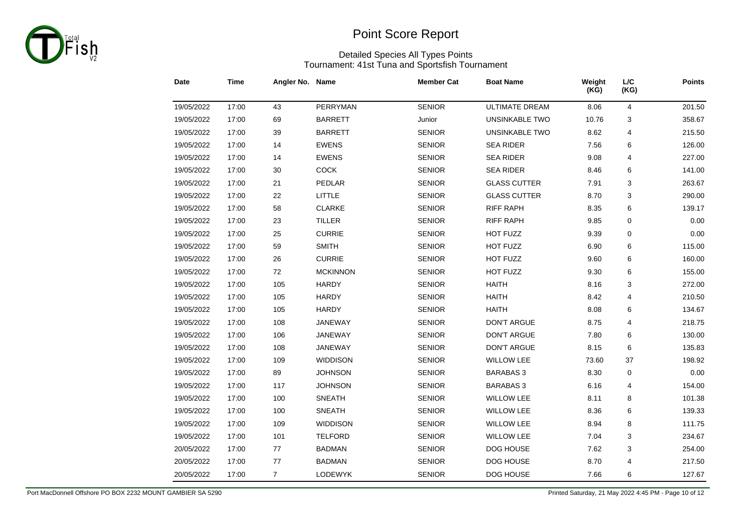

#### Detailed Species All Types Points Tournament: 41st Tuna and Sportsfish Tournament

| Date       | <b>Time</b> | Angler No. Name |                 | <b>Member Cat</b> | <b>Boat Name</b>      | Weight<br>(KG) | $L/C$<br>(KG) | <b>Points</b> |
|------------|-------------|-----------------|-----------------|-------------------|-----------------------|----------------|---------------|---------------|
| 19/05/2022 | 17:00       | 43              | PERRYMAN        | <b>SENIOR</b>     | <b>ULTIMATE DREAM</b> | 8.06           | 4             | 201.50        |
| 19/05/2022 | 17:00       | 69              | <b>BARRETT</b>  | Junior            | UNSINKABLE TWO        | 10.76          | 3             | 358.67        |
| 19/05/2022 | 17:00       | 39              | <b>BARRETT</b>  | <b>SENIOR</b>     | <b>UNSINKABLE TWO</b> | 8.62           | 4             | 215.50        |
| 19/05/2022 | 17:00       | 14              | <b>EWENS</b>    | <b>SENIOR</b>     | <b>SEA RIDER</b>      | 7.56           | 6             | 126.00        |
| 19/05/2022 | 17:00       | 14              | <b>EWENS</b>    | <b>SENIOR</b>     | <b>SEA RIDER</b>      | 9.08           | 4             | 227.00        |
| 19/05/2022 | 17:00       | 30              | <b>COCK</b>     | <b>SENIOR</b>     | <b>SEA RIDER</b>      | 8.46           | 6             | 141.00        |
| 19/05/2022 | 17:00       | 21              | PEDLAR          | <b>SENIOR</b>     | <b>GLASS CUTTER</b>   | 7.91           | 3             | 263.67        |
| 19/05/2022 | 17:00       | 22              | LITTLE          | <b>SENIOR</b>     | <b>GLASS CUTTER</b>   | 8.70           | 3             | 290.00        |
| 19/05/2022 | 17:00       | 58              | <b>CLARKE</b>   | <b>SENIOR</b>     | <b>RIFF RAPH</b>      | 8.35           | 6             | 139.17        |
| 19/05/2022 | 17:00       | 23              | <b>TILLER</b>   | <b>SENIOR</b>     | <b>RIFF RAPH</b>      | 9.85           | 0             | 0.00          |
| 19/05/2022 | 17:00       | 25              | <b>CURRIE</b>   | <b>SENIOR</b>     | HOT FUZZ              | 9.39           | 0             | 0.00          |
| 19/05/2022 | 17:00       | 59              | <b>SMITH</b>    | <b>SENIOR</b>     | HOT FUZZ              | 6.90           | 6             | 115.00        |
| 19/05/2022 | 17:00       | 26              | <b>CURRIE</b>   | <b>SENIOR</b>     | HOT FUZZ              | 9.60           | 6             | 160.00        |
| 19/05/2022 | 17:00       | 72              | <b>MCKINNON</b> | <b>SENIOR</b>     | HOT FUZZ              | 9.30           | 6             | 155.00        |
| 19/05/2022 | 17:00       | 105             | <b>HARDY</b>    | <b>SENIOR</b>     | <b>HAITH</b>          | 8.16           | 3             | 272.00        |
| 19/05/2022 | 17:00       | 105             | <b>HARDY</b>    | <b>SENIOR</b>     | <b>HAITH</b>          | 8.42           | 4             | 210.50        |
| 19/05/2022 | 17:00       | 105             | <b>HARDY</b>    | <b>SENIOR</b>     | <b>HAITH</b>          | 8.08           | 6             | 134.67        |
| 19/05/2022 | 17:00       | 108             | JANEWAY         | <b>SENIOR</b>     | <b>DON'T ARGUE</b>    | 8.75           | 4             | 218.75        |
| 19/05/2022 | 17:00       | 106             | JANEWAY         | <b>SENIOR</b>     | <b>DON'T ARGUE</b>    | 7.80           | 6             | 130.00        |
| 19/05/2022 | 17:00       | 108             | <b>JANEWAY</b>  | <b>SENIOR</b>     | <b>DON'T ARGUE</b>    | 8.15           | 6             | 135.83        |
| 19/05/2022 | 17:00       | 109             | <b>WIDDISON</b> | <b>SENIOR</b>     | <b>WILLOW LEE</b>     | 73.60          | 37            | 198.92        |
| 19/05/2022 | 17:00       | 89              | <b>JOHNSON</b>  | <b>SENIOR</b>     | <b>BARABAS 3</b>      | 8.30           | 0             | 0.00          |
| 19/05/2022 | 17:00       | 117             | <b>JOHNSON</b>  | <b>SENIOR</b>     | <b>BARABAS 3</b>      | 6.16           | 4             | 154.00        |
| 19/05/2022 | 17:00       | 100             | <b>SNEATH</b>   | <b>SENIOR</b>     | WILLOW LEE            | 8.11           | 8             | 101.38        |
| 19/05/2022 | 17:00       | 100             | <b>SNEATH</b>   | <b>SENIOR</b>     | <b>WILLOW LEE</b>     | 8.36           | 6             | 139.33        |
| 19/05/2022 | 17:00       | 109             | <b>WIDDISON</b> | <b>SENIOR</b>     | WILLOW LEE            | 8.94           | 8             | 111.75        |
| 19/05/2022 | 17:00       | 101             | <b>TELFORD</b>  | <b>SENIOR</b>     | <b>WILLOW LEE</b>     | 7.04           | 3             | 234.67        |
| 20/05/2022 | 17:00       | 77              | <b>BADMAN</b>   | <b>SENIOR</b>     | DOG HOUSE             | 7.62           | 3             | 254.00        |
| 20/05/2022 | 17:00       | 77              | <b>BADMAN</b>   | <b>SENIOR</b>     | DOG HOUSE             | 8.70           | 4             | 217.50        |
| 20/05/2022 | 17:00       | $\overline{7}$  | <b>LODEWYK</b>  | <b>SENIOR</b>     | DOG HOUSE             | 7.66           | 6             | 127.67        |

Port MacDonnell Offshore PO BOX 2232 MOUNT GAMBIER SA 5290 **Printed Saturday, 21 May 2022 4:45 PM - Page 10 of 12**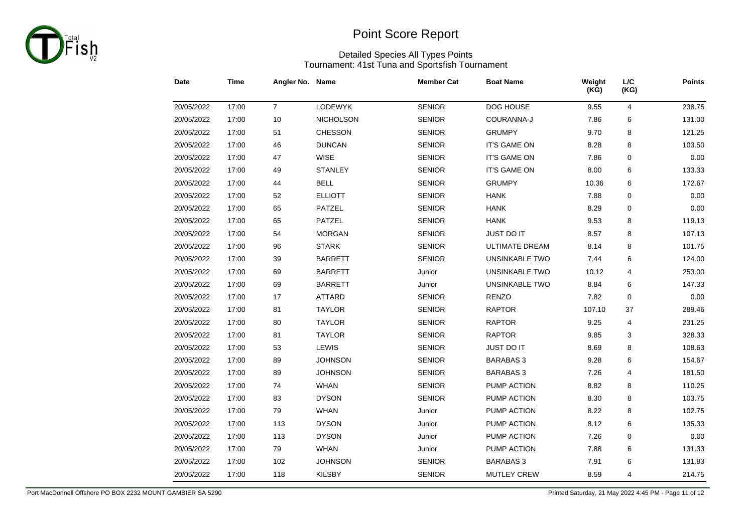

#### Detailed Species All Types Points Tournament: 41st Tuna and Sportsfish Tournament

| Date       | <b>Time</b> | Angler No. Name |                  | <b>Member Cat</b> | <b>Boat Name</b>      | Weight<br>(KG) | $L\!/\!C$<br>(KG) | <b>Points</b> |
|------------|-------------|-----------------|------------------|-------------------|-----------------------|----------------|-------------------|---------------|
| 20/05/2022 | 17:00       | $\overline{7}$  | LODEWYK          | <b>SENIOR</b>     | DOG HOUSE             | 9.55           | 4                 | 238.75        |
| 20/05/2022 | 17:00       | 10              | <b>NICHOLSON</b> | <b>SENIOR</b>     | COURANNA-J            | 7.86           | 6                 | 131.00        |
| 20/05/2022 | 17:00       | 51              | <b>CHESSON</b>   | <b>SENIOR</b>     | <b>GRUMPY</b>         | 9.70           | 8                 | 121.25        |
| 20/05/2022 | 17:00       | 46              | <b>DUNCAN</b>    | <b>SENIOR</b>     | IT'S GAME ON          | 8.28           | 8                 | 103.50        |
| 20/05/2022 | 17:00       | 47              | <b>WISE</b>      | <b>SENIOR</b>     | <b>IT'S GAME ON</b>   | 7.86           | 0                 | 0.00          |
| 20/05/2022 | 17:00       | 49              | <b>STANLEY</b>   | <b>SENIOR</b>     | <b>IT'S GAME ON</b>   | 8.00           | 6                 | 133.33        |
| 20/05/2022 | 17:00       | 44              | <b>BELL</b>      | <b>SENIOR</b>     | <b>GRUMPY</b>         | 10.36          | 6                 | 172.67        |
| 20/05/2022 | 17:00       | 52              | <b>ELLIOTT</b>   | <b>SENIOR</b>     | <b>HANK</b>           | 7.88           | 0                 | 0.00          |
| 20/05/2022 | 17:00       | 65              | <b>PATZEL</b>    | <b>SENIOR</b>     | <b>HANK</b>           | 8.29           | $\mathbf 0$       | 0.00          |
| 20/05/2022 | 17:00       | 65              | <b>PATZEL</b>    | <b>SENIOR</b>     | <b>HANK</b>           | 9.53           | 8                 | 119.13        |
| 20/05/2022 | 17:00       | 54              | <b>MORGAN</b>    | <b>SENIOR</b>     | JUST DO IT            | 8.57           | 8                 | 107.13        |
| 20/05/2022 | 17:00       | 96              | <b>STARK</b>     | <b>SENIOR</b>     | <b>ULTIMATE DREAM</b> | 8.14           | 8                 | 101.75        |
| 20/05/2022 | 17:00       | 39              | <b>BARRETT</b>   | <b>SENIOR</b>     | UNSINKABLE TWO        | 7.44           | 6                 | 124.00        |
| 20/05/2022 | 17:00       | 69              | <b>BARRETT</b>   | Junior            | <b>UNSINKABLE TWO</b> | 10.12          | 4                 | 253.00        |
| 20/05/2022 | 17:00       | 69              | <b>BARRETT</b>   | Junior            | <b>UNSINKABLE TWO</b> | 8.84           | 6                 | 147.33        |
| 20/05/2022 | 17:00       | 17              | <b>ATTARD</b>    | <b>SENIOR</b>     | <b>RENZO</b>          | 7.82           | $\mathbf 0$       | 0.00          |
| 20/05/2022 | 17:00       | 81              | <b>TAYLOR</b>    | <b>SENIOR</b>     | <b>RAPTOR</b>         | 107.10         | 37                | 289.46        |
| 20/05/2022 | 17:00       | 80              | <b>TAYLOR</b>    | <b>SENIOR</b>     | <b>RAPTOR</b>         | 9.25           | 4                 | 231.25        |
| 20/05/2022 | 17:00       | 81              | <b>TAYLOR</b>    | <b>SENIOR</b>     | <b>RAPTOR</b>         | 9.85           | 3                 | 328.33        |
| 20/05/2022 | 17:00       | 53              | LEWIS            | <b>SENIOR</b>     | JUST DO IT            | 8.69           | 8                 | 108.63        |
| 20/05/2022 | 17:00       | 89              | <b>JOHNSON</b>   | <b>SENIOR</b>     | <b>BARABAS 3</b>      | 9.28           | 6                 | 154.67        |
| 20/05/2022 | 17:00       | 89              | <b>JOHNSON</b>   | <b>SENIOR</b>     | <b>BARABAS 3</b>      | 7.26           | 4                 | 181.50        |
| 20/05/2022 | 17:00       | 74              | <b>WHAN</b>      | <b>SENIOR</b>     | PUMP ACTION           | 8.82           | 8                 | 110.25        |
| 20/05/2022 | 17:00       | 83              | <b>DYSON</b>     | <b>SENIOR</b>     | PUMP ACTION           | 8.30           | 8                 | 103.75        |
| 20/05/2022 | 17:00       | 79              | <b>WHAN</b>      | Junior            | PUMP ACTION           | 8.22           | 8                 | 102.75        |
| 20/05/2022 | 17:00       | 113             | <b>DYSON</b>     | Junior            | PUMP ACTION           | 8.12           | 6                 | 135.33        |
| 20/05/2022 | 17:00       | 113             | <b>DYSON</b>     | Junior            | PUMP ACTION           | 7.26           | 0                 | 0.00          |
| 20/05/2022 | 17:00       | 79              | <b>WHAN</b>      | Junior            | PUMP ACTION           | 7.88           | 6                 | 131.33        |
| 20/05/2022 | 17:00       | 102             | <b>JOHNSON</b>   | <b>SENIOR</b>     | <b>BARABAS 3</b>      | 7.91           | 6                 | 131.83        |
| 20/05/2022 | 17:00       | 118             | <b>KILSBY</b>    | <b>SENIOR</b>     | <b>MUTLEY CREW</b>    | 8.59           | 4                 | 214.75        |

Port MacDonnell Offshore PO BOX 2232 MOUNT GAMBIER SA 5290 **Printed Saturday, 21 May 2022 4:45 PM - Page 11 of 12**